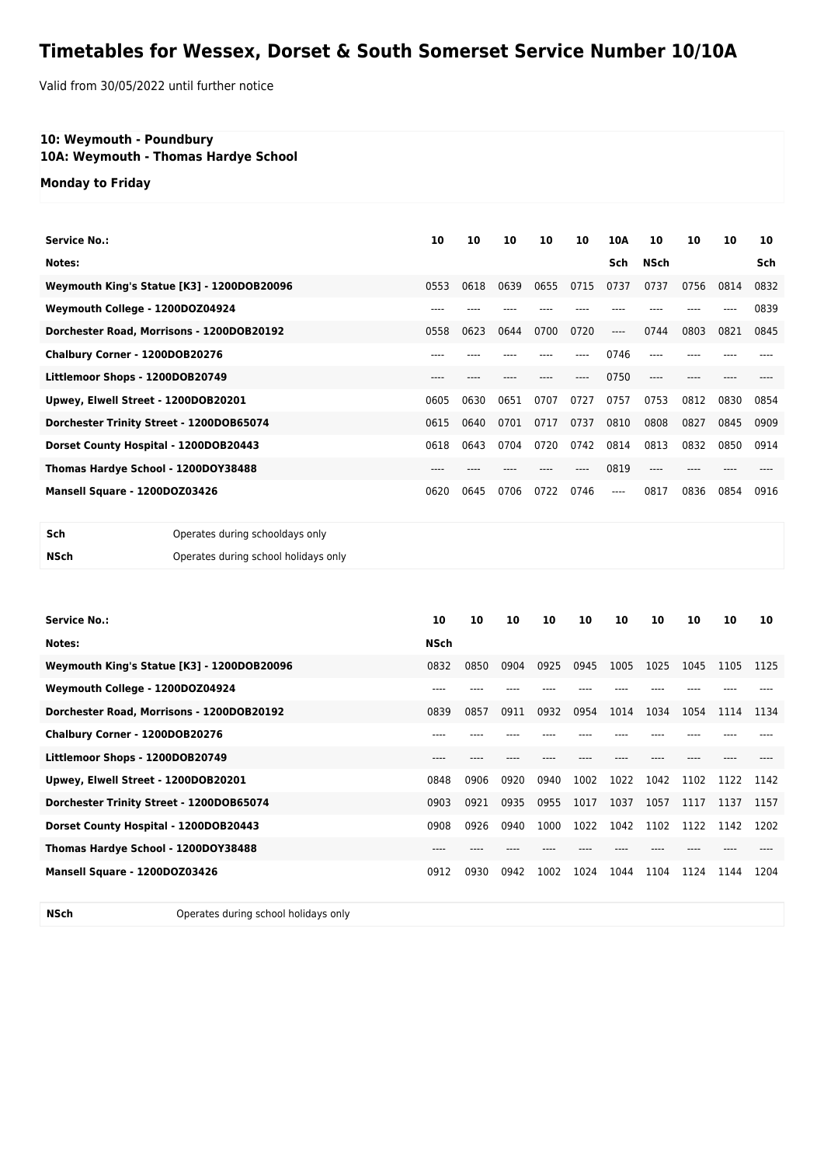## **Timetables for Wessex, Dorset & South Somerset Service Number 10/10A**

Valid from 30/05/2022 until further notice

## **10: Weymouth - Poundbury**

**10A: Weymouth - Thomas Hardye School**

**Monday to Friday**

| <b>Service No.:</b>                        | 10        | 10   | 10   | 10   | 10   | 10A   | 10   | 10   | 10   | 10   |
|--------------------------------------------|-----------|------|------|------|------|-------|------|------|------|------|
| Notes:                                     |           |      |      |      |      | Sch   | NSch |      |      | Sch  |
| Weymouth King's Statue [K3] - 1200DOB20096 | 0553      | 0618 | 0639 | 0655 | 0715 | 0737  | 0737 | 0756 | 0814 | 0832 |
| Weymouth College - 1200DOZ04924            | $- - - -$ |      |      |      |      |       |      |      |      | 0839 |
| Dorchester Road, Morrisons - 1200DOB20192  | 0558      | 0623 | 0644 | 0700 | 0720 | $---$ | 0744 | 0803 | 0821 | 0845 |
| Chalbury Corner - 1200DOB20276             |           |      |      |      |      | 0746  | ---- |      |      |      |
| Littlemoor Shops - 1200DOB20749            | $---$     |      |      |      |      | 0750  | ---- |      |      |      |
| Upwey, Elwell Street - 1200DOB20201        | 0605      | 0630 | 0651 | 0707 | 0727 | 0757  | 0753 | 0812 | 0830 | 0854 |
| Dorchester Trinity Street - 1200DOB65074   | 0615      | 0640 | 0701 | 0717 | 0737 | 0810  | 0808 | 0827 | 0845 | 0909 |
| Dorset County Hospital - 1200DOB20443      | 0618      | 0643 | 0704 | 0720 | 0742 | 0814  | 0813 | 0832 | 0850 | 0914 |
| Thomas Hardye School - 1200DOY38488        | $---$     |      |      |      | ---- | 0819  | ---- | ---  |      |      |
| Mansell Square - 1200DOZ03426              | 0620      | 0645 | 0706 | 0722 | 0746 | $---$ | 0817 | 0836 | 0854 | 0916 |
|                                            |           |      |      |      |      |       |      |      |      |      |

| Sch  | Operates during schooldays only      |
|------|--------------------------------------|
| NSch | Operates during school holidays only |

| <b>Service No.:</b><br>Notes:              | 10<br><b>NSch</b> | 10   | 10   | 10   | 10   | 10   | 10   | 10   | 10   | 10   |
|--------------------------------------------|-------------------|------|------|------|------|------|------|------|------|------|
| Weymouth King's Statue [K3] - 1200DOB20096 | 0832              | 0850 | 0904 | 0925 | 0945 | 1005 | 1025 | 1045 | 1105 | 1125 |
| Weymouth College - 1200DOZ04924            | $- - -$           |      |      |      |      |      |      |      |      |      |
| Dorchester Road, Morrisons - 1200DOB20192  | 0839              | 0857 | 0911 | 0932 | 0954 | 1014 | 1034 | 1054 | 1114 | 1134 |
| Chalbury Corner - 1200DOB20276             | $- - -$           |      |      |      |      |      |      |      |      |      |
| Littlemoor Shops - 1200DOB20749            | $---$             |      |      |      |      |      |      |      |      |      |
| Upwey, Elwell Street - 1200DOB20201        | 0848              | 0906 | 0920 | 0940 | 1002 | 1022 | 1042 | 1102 | 1122 | 1142 |
| Dorchester Trinity Street - 1200DOB65074   | 0903              | 0921 | 0935 | 0955 | 1017 | 1037 | 1057 | 1117 | 1137 | 1157 |
| Dorset County Hospital - 1200DOB20443      | 0908              | 0926 | 0940 | 1000 | 1022 | 1042 | 1102 | 1122 | 1142 | 1202 |
| Thomas Hardye School - 1200DOY38488        |                   |      |      |      |      |      |      |      |      |      |
| Mansell Square - 1200DOZ03426              | 0912              | 0930 | 0942 | 1002 | 1024 | 1044 | 1104 | 1124 | 1144 | 1204 |

**NSch** Operates during school holidays only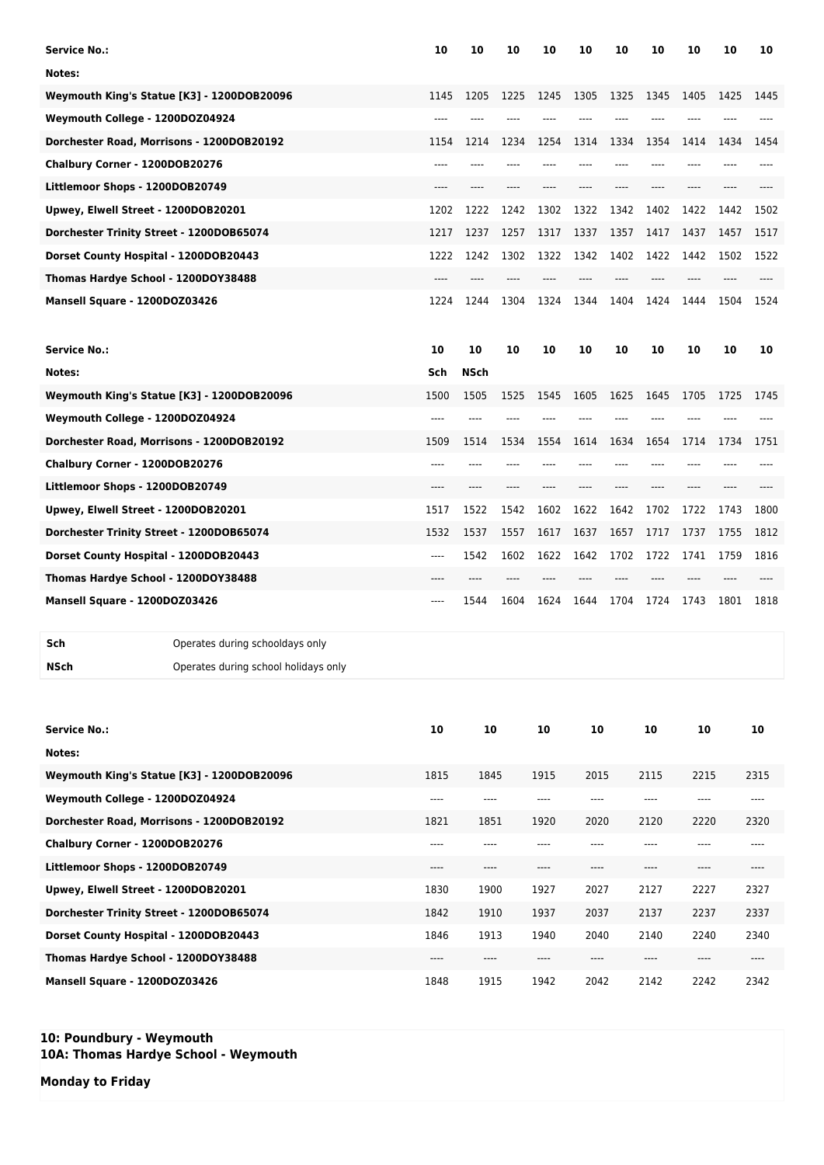| <b>Service No.:</b>                       |                                            | 10                            | 10   | 10   | 10                            | 10       | 10   | 10                            | 10   | 10   | 10   |
|-------------------------------------------|--------------------------------------------|-------------------------------|------|------|-------------------------------|----------|------|-------------------------------|------|------|------|
| Notes:                                    |                                            |                               |      |      |                               |          |      |                               |      |      |      |
|                                           | Weymouth King's Statue [K3] - 1200DOB20096 | 1145                          | 1205 | 1225 | 1245                          | 1305     | 1325 | 1345                          | 1405 | 1425 | 1445 |
| Weymouth College - 1200DOZ04924           |                                            |                               |      |      |                               |          |      |                               |      |      |      |
| Dorchester Road, Morrisons - 1200DOB20192 |                                            | 1154                          | 1214 | 1234 | 1254                          | 1314     | 1334 | 1354                          | 1414 | 1434 | 1454 |
| Chalbury Corner - 1200DOB20276            |                                            | ----                          |      |      |                               |          |      |                               |      |      |      |
| Littlemoor Shops - 1200DOB20749           |                                            | ----                          |      |      |                               |          |      |                               |      | ---- |      |
| Upwey, Elwell Street - 1200DOB20201       |                                            | 1202                          | 1222 | 1242 | 1302                          | 1322     | 1342 | 1402                          | 1422 | 1442 | 1502 |
| Dorchester Trinity Street - 1200DOB65074  |                                            | 1217                          | 1237 | 1257 | 1317                          | 1337     | 1357 | 1417                          | 1437 | 1457 | 1517 |
| Dorset County Hospital - 1200DOB20443     |                                            | 1222                          | 1242 | 1302 | 1322                          | 1342     | 1402 | 1422                          | 1442 | 1502 | 1522 |
| Thomas Hardye School - 1200DOY38488       |                                            | ----                          |      |      |                               |          |      |                               |      |      |      |
| Mansell Square - 1200DOZ03426             |                                            | 1224                          | 1244 | 1304 | 1324                          | 1344     | 1404 | 1424                          | 1444 | 1504 | 1524 |
| <b>Service No.:</b>                       |                                            | 10                            | 10   | 10   | 10                            | 10       | 10   | 10                            | 10   | 10   | 10   |
| Notes:                                    |                                            | Sch                           | NSch |      |                               |          |      |                               |      |      |      |
|                                           | Weymouth King's Statue [K3] - 1200DOB20096 | 1500                          | 1505 | 1525 | 1545                          | 1605     | 1625 | 1645                          | 1705 | 1725 | 1745 |
| Weymouth College - 1200DOZ04924           |                                            | ----                          |      |      |                               |          |      |                               |      |      |      |
| Dorchester Road, Morrisons - 1200DOB20192 |                                            | 1509                          | 1514 | 1534 | 1554                          | 1614     | 1634 | 1654                          | 1714 | 1734 | 1751 |
| Chalbury Corner - 1200DOB20276            |                                            | ----                          |      |      |                               |          |      |                               |      |      |      |
| Littlemoor Shops - 1200DOB20749           |                                            | ----                          | ---- | ---- | ----                          | $---$    | ---- | ----                          | ---- | ---- |      |
| Upwey, Elwell Street - 1200DOB20201       |                                            | 1517                          | 1522 | 1542 | 1602                          | 1622     | 1642 | 1702                          | 1722 | 1743 | 1800 |
| Dorchester Trinity Street - 1200DOB65074  |                                            | 1532                          | 1537 | 1557 | 1617                          | 1637     | 1657 | 1717                          | 1737 | 1755 | 1812 |
| Dorset County Hospital - 1200DOB20443     |                                            | ----                          | 1542 | 1602 | 1622                          | 1642     | 1702 | 1722                          | 1741 | 1759 | 1816 |
| Thomas Hardye School - 1200DOY38488       |                                            | ----                          | ---- | ---- | ----                          | ----     | ---- | ----                          | ---- | ---- |      |
| Mansell Square - 1200DOZ03426             |                                            |                               | 1544 | 1604 | 1624                          | 1644     | 1704 | 1724                          | 1743 | 1801 | 1818 |
| Sch                                       | Operates during schooldays only            |                               |      |      |                               |          |      |                               |      |      |      |
| NSch                                      | Operates during school holidays only       |                               |      |      |                               |          |      |                               |      |      |      |
|                                           |                                            |                               |      |      |                               |          |      |                               |      |      |      |
| <b>Service No.:</b>                       |                                            | 10                            | 10   |      | 10                            | 10       |      | 10                            | 10   |      | 10   |
| Notes:                                    |                                            |                               |      |      |                               |          |      |                               |      |      |      |
|                                           | Weymouth King's Statue [K3] - 1200DOB20096 | 1815                          | 1845 |      | 1915                          | 2015     |      | 2115                          | 2215 |      | 2315 |
| Weymouth College - 1200DOZ04924           |                                            |                               | ---- |      | ----                          | ----     |      | $---$                         | ---- |      |      |
| Dorchester Road, Morrisons - 1200DOB20192 |                                            | 1821                          | 1851 |      | 1920                          | 2020     |      | 2120                          | 2220 |      | 2320 |
| Chalbury Corner - 1200DOB20276            |                                            | $\hspace{1.5cm} \textbf{---}$ | ---- |      | ----                          | ----     |      | $-----$                       | ---- |      | ---- |
| Littlemoor Shops - 1200DOB20749           |                                            | $---$                         | ---- |      | ----                          | ----     |      | $\hspace{1.5cm} \textbf{---}$ | ---- |      | ---- |
| Upwey, Elwell Street - 1200DOB20201       |                                            | 1830                          | 1900 |      | 1927                          | 2027     |      | 2127                          | 2227 |      | 2327 |
| Dorchester Trinity Street - 1200DOB65074  |                                            | 1842                          | 1910 |      | 1937                          | 2037     |      | 2137                          | 2237 |      | 2337 |
| Dorset County Hospital - 1200DOB20443     |                                            | 1846                          | 1913 |      | 1940                          | 2040     |      | 2140                          | 2240 |      | 2340 |
| Thomas Hardye School - 1200DOY38488       |                                            | $-----$                       | ---- |      | $\hspace{1.5cm} \textbf{---}$ | $\cdots$ |      | $\hspace{1.5cm} \textbf{---}$ | ---- |      | ---- |

**Mansell Square - 1200DOZ03426** 1848 1915 1942 2042 2142 2242 2342

**10: Poundbury - Weymouth 10A: Thomas Hardye School - Weymouth**

**Monday to Friday**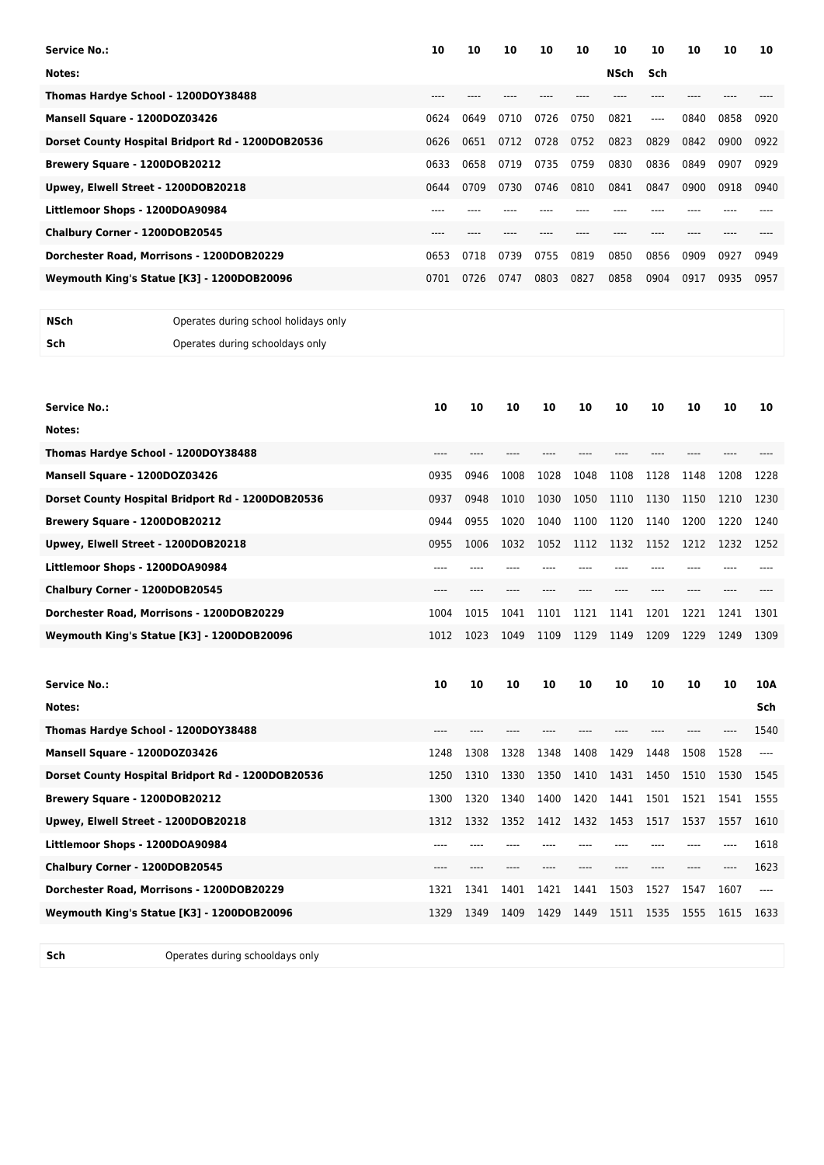| Service No.:                                      | 10   | 10   | 10   | 10   | 10   | 10   | 10   | 10   | 10   | 10   |
|---------------------------------------------------|------|------|------|------|------|------|------|------|------|------|
| Notes:                                            |      |      |      |      |      | NSch | Sch  |      |      |      |
| Thomas Hardye School - 1200DOY38488               |      |      |      |      |      |      |      |      |      |      |
| Mansell Square - 1200DOZ03426                     | 0624 | 0649 | 0710 | 0726 | 0750 | 0821 | ---- | 0840 | 0858 | 0920 |
| Dorset County Hospital Bridport Rd - 1200DOB20536 | 0626 | 0651 | 0712 | 0728 | 0752 | 0823 | 0829 | 0842 | 0900 | 0922 |
| Brewery Square - 1200DOB20212                     | 0633 | 0658 | 0719 | 0735 | 0759 | 0830 | 0836 | 0849 | 0907 | 0929 |
| Upwey, Elwell Street - 1200DOB20218               | 0644 | 0709 | 0730 | 0746 | 0810 | 0841 | 0847 | 0900 | 0918 | 0940 |
| Littlemoor Shops - 1200DOA90984                   |      |      |      |      |      |      |      |      |      |      |
| Chalbury Corner - 1200DOB20545                    | ---- |      |      |      |      |      |      |      |      |      |
| Dorchester Road, Morrisons - 1200DOB20229         | 0653 | 0718 | 0739 | 0755 | 0819 | 0850 | 0856 | 0909 | 0927 | 0949 |
| Weymouth King's Statue [K3] - 1200DOB20096        | 0701 | 0726 | 0747 | 0803 | 0827 | 0858 | 0904 | 0917 | 0935 | 0957 |
|                                                   |      |      |      |      |      |      |      |      |      |      |
|                                                   |      |      |      |      |      |      |      |      |      |      |

```
NSch Operates during school holidays only
Sch Operates during schooldays only
```

| <b>Service No.:</b>                               | 10   | 10   | 10   | 10   | 10   | 10   | 10   | 10   | 10   | 10   |
|---------------------------------------------------|------|------|------|------|------|------|------|------|------|------|
| Notes:                                            |      |      |      |      |      |      |      |      |      |      |
| Thomas Hardye School - 1200DOY38488               | ---- |      |      |      |      |      |      |      |      |      |
| Mansell Square - 1200DOZ03426                     | 0935 | 0946 | 1008 | 1028 | 1048 | 1108 | 1128 | 1148 | 1208 | 1228 |
| Dorset County Hospital Bridport Rd - 1200DOB20536 | 0937 | 0948 | 1010 | 1030 | 1050 | 1110 | 1130 | 1150 | 1210 | 1230 |
| Brewery Square - 1200DOB20212                     | 0944 | 0955 | 1020 | 1040 | 1100 | 1120 | 1140 | 1200 | 1220 | 1240 |
| Upwey, Elwell Street - 1200DOB20218               | 0955 | 1006 | 1032 | 1052 | 1112 | 1132 | 1152 | 1212 | 1232 | 1252 |
| Littlemoor Shops - 1200DOA90984                   | ---- |      |      |      |      |      |      |      |      |      |
| Chalbury Corner - 1200DOB20545                    | ---- |      |      |      |      |      | ---- |      |      |      |
| Dorchester Road, Morrisons - 1200DOB20229         | 1004 | 1015 | 1041 | 1101 | 1121 | 1141 | 1201 | 1221 | 1241 | 1301 |
| Weymouth King's Statue [K3] - 1200DOB20096        | 1012 | 1023 | 1049 | 1109 | 1129 | 1149 | 1209 | 1229 | 1249 | 1309 |
|                                                   |      |      |      |      |      |      |      |      |      |      |
|                                                   |      |      |      |      |      |      |      |      |      |      |
| <b>Service No.:</b>                               | 10   | 10   | 10   | 10   | 10   | 10   | 10   | 10   | 10   | 10A  |
| Notes:                                            |      |      |      |      |      |      |      |      |      | Sch  |
| Thomas Hardye School - 1200DOY38488               | ---- |      |      |      |      |      |      |      |      | 1540 |
| Mansell Square - 1200DOZ03426                     | 1248 | 1308 | 1328 | 1348 | 1408 | 1429 | 1448 | 1508 | 1528 |      |
| Dorset County Hospital Bridport Rd - 1200DOB20536 | 1250 | 1310 | 1330 | 1350 | 1410 | 1431 | 1450 | 1510 | 1530 | 1545 |
| Brewery Square - 1200DOB20212                     | 1300 | 1320 | 1340 | 1400 | 1420 | 1441 | 1501 | 1521 | 1541 | 1555 |
| Upwey, Elwell Street - 1200DOB20218               | 1312 | 1332 | 1352 | 1412 | 1432 | 1453 | 1517 | 1537 | 1557 | 1610 |
| Littlemoor Shops - 1200DOA90984                   | ---- |      |      |      |      |      |      |      |      | 1618 |
| Chalbury Corner - 1200DOB20545                    | ---- |      |      |      |      |      |      | ---- |      | 1623 |
| Dorchester Road, Morrisons - 1200DOB20229         | 1321 | 1341 | 1401 | 1421 | 1441 | 1503 | 1527 | 1547 | 1607 |      |
| Weymouth King's Statue [K3] - 1200DOB20096        | 1329 | 1349 | 1409 | 1429 | 1449 | 1511 | 1535 | 1555 | 1615 | 1633 |

**Sch** Operates during schooldays only